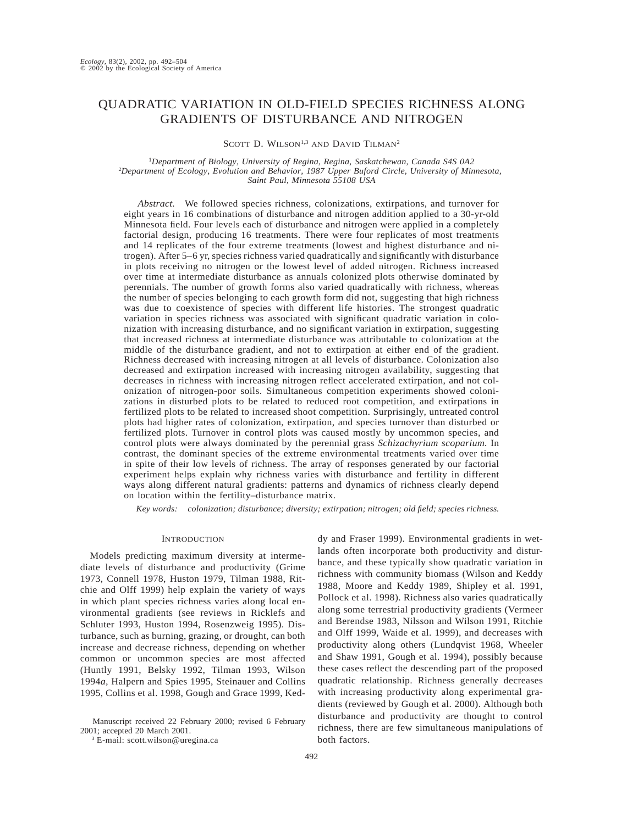# QUADRATIC VARIATION IN OLD-FIELD SPECIES RICHNESS ALONG GRADIENTS OF DISTURBANCE AND NITROGEN

SCOTT D. WILSON<sup>1,3</sup> AND DAVID TILMAN<sup>2</sup>

<sup>1</sup>*Department of Biology, University of Regina, Regina, Saskatchewan, Canada S4S 0A2* <sup>2</sup>*Department of Ecology, Evolution and Behavior, 1987 Upper Buford Circle, University of Minnesota, Saint Paul, Minnesota 55108 USA*

*Abstract.* We followed species richness, colonizations, extirpations, and turnover for eight years in 16 combinations of disturbance and nitrogen addition applied to a 30-yr-old Minnesota field. Four levels each of disturbance and nitrogen were applied in a completely factorial design, producing 16 treatments. There were four replicates of most treatments and 14 replicates of the four extreme treatments (lowest and highest disturbance and nitrogen). After 5–6 yr, species richness varied quadratically and significantly with disturbance in plots receiving no nitrogen or the lowest level of added nitrogen. Richness increased over time at intermediate disturbance as annuals colonized plots otherwise dominated by perennials. The number of growth forms also varied quadratically with richness, whereas the number of species belonging to each growth form did not, suggesting that high richness was due to coexistence of species with different life histories. The strongest quadratic variation in species richness was associated with significant quadratic variation in colonization with increasing disturbance, and no significant variation in extirpation, suggesting that increased richness at intermediate disturbance was attributable to colonization at the middle of the disturbance gradient, and not to extirpation at either end of the gradient. Richness decreased with increasing nitrogen at all levels of disturbance. Colonization also decreased and extirpation increased with increasing nitrogen availability, suggesting that decreases in richness with increasing nitrogen reflect accelerated extirpation, and not colonization of nitrogen-poor soils. Simultaneous competition experiments showed colonizations in disturbed plots to be related to reduced root competition, and extirpations in fertilized plots to be related to increased shoot competition. Surprisingly, untreated control plots had higher rates of colonization, extirpation, and species turnover than disturbed or fertilized plots. Turnover in control plots was caused mostly by uncommon species, and control plots were always dominated by the perennial grass *Schizachyrium scoparium.* In contrast, the dominant species of the extreme environmental treatments varied over time in spite of their low levels of richness. The array of responses generated by our factorial experiment helps explain why richness varies with disturbance and fertility in different ways along different natural gradients: patterns and dynamics of richness clearly depend on location within the fertility–disturbance matrix.

*Key words: colonization; disturbance; diversity; extirpation; nitrogen; old field; species richness.*

### **INTRODUCTION**

Models predicting maximum diversity at intermediate levels of disturbance and productivity (Grime 1973, Connell 1978, Huston 1979, Tilman 1988, Ritchie and Olff 1999) help explain the variety of ways in which plant species richness varies along local environmental gradients (see reviews in Ricklefs and Schluter 1993, Huston 1994, Rosenzweig 1995). Disturbance, such as burning, grazing, or drought, can both increase and decrease richness, depending on whether common or uncommon species are most affected (Huntly 1991, Belsky 1992, Tilman 1993, Wilson 1994*a,* Halpern and Spies 1995, Steinauer and Collins 1995, Collins et al. 1998, Gough and Grace 1999, Keddy and Fraser 1999). Environmental gradients in wetlands often incorporate both productivity and disturbance, and these typically show quadratic variation in richness with community biomass (Wilson and Keddy 1988, Moore and Keddy 1989, Shipley et al. 1991, Pollock et al. 1998). Richness also varies quadratically along some terrestrial productivity gradients (Vermeer and Berendse 1983, Nilsson and Wilson 1991, Ritchie and Olff 1999, Waide et al. 1999), and decreases with productivity along others (Lundqvist 1968, Wheeler and Shaw 1991, Gough et al. 1994), possibly because these cases reflect the descending part of the proposed quadratic relationship. Richness generally decreases with increasing productivity along experimental gradients (reviewed by Gough et al. 2000). Although both disturbance and productivity are thought to control richness, there are few simultaneous manipulations of both factors.

Manuscript received 22 February 2000; revised 6 February 2001; accepted 20 March 2001.

<sup>3</sup> E-mail: scott.wilson@uregina.ca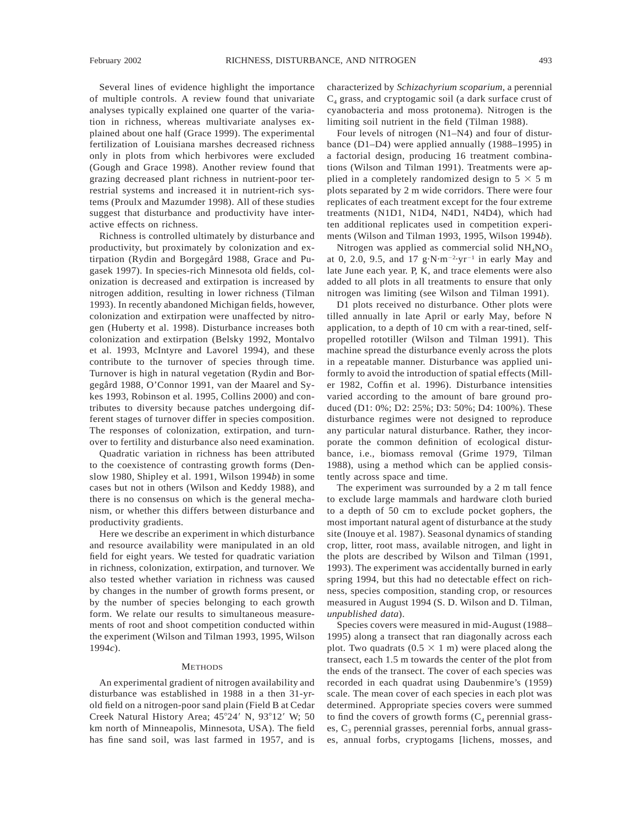Several lines of evidence highlight the importance of multiple controls. A review found that univariate analyses typically explained one quarter of the variation in richness, whereas multivariate analyses explained about one half (Grace 1999). The experimental fertilization of Louisiana marshes decreased richness only in plots from which herbivores were excluded (Gough and Grace 1998). Another review found that grazing decreased plant richness in nutrient-poor terrestrial systems and increased it in nutrient-rich systems (Proulx and Mazumder 1998). All of these studies suggest that disturbance and productivity have interactive effects on richness.

Richness is controlled ultimately by disturbance and productivity, but proximately by colonization and extirpation (Rydin and Borgegård 1988, Grace and Pugasek 1997). In species-rich Minnesota old fields, colonization is decreased and extirpation is increased by nitrogen addition, resulting in lower richness (Tilman 1993). In recently abandoned Michigan fields, however, colonization and extirpation were unaffected by nitrogen (Huberty et al. 1998). Disturbance increases both colonization and extirpation (Belsky 1992, Montalvo et al. 1993, McIntyre and Lavorel 1994), and these contribute to the turnover of species through time. Turnover is high in natural vegetation (Rydin and Borgegård 1988, O'Connor 1991, van der Maarel and Sykes 1993, Robinson et al. 1995, Collins 2000) and contributes to diversity because patches undergoing different stages of turnover differ in species composition. The responses of colonization, extirpation, and turnover to fertility and disturbance also need examination.

Quadratic variation in richness has been attributed to the coexistence of contrasting growth forms (Denslow 1980, Shipley et al. 1991, Wilson 1994*b*) in some cases but not in others (Wilson and Keddy 1988), and there is no consensus on which is the general mechanism, or whether this differs between disturbance and productivity gradients.

Here we describe an experiment in which disturbance and resource availability were manipulated in an old field for eight years. We tested for quadratic variation in richness, colonization, extirpation, and turnover. We also tested whether variation in richness was caused by changes in the number of growth forms present, or by the number of species belonging to each growth form. We relate our results to simultaneous measurements of root and shoot competition conducted within the experiment (Wilson and Tilman 1993, 1995, Wilson 1994*c*).

## METHODS

An experimental gradient of nitrogen availability and disturbance was established in 1988 in a then 31-yrold field on a nitrogen-poor sand plain (Field B at Cedar Creek Natural History Area; 45°24' N, 93°12' W; 50 km north of Minneapolis, Minnesota, USA). The field has fine sand soil, was last farmed in 1957, and is characterized by *Schizachyrium scoparium,* a perennial  $C_4$  grass, and cryptogamic soil (a dark surface crust of cyanobacteria and moss protonema). Nitrogen is the limiting soil nutrient in the field (Tilman 1988).

Four levels of nitrogen (N1–N4) and four of disturbance (D1–D4) were applied annually (1988–1995) in a factorial design, producing 16 treatment combinations (Wilson and Tilman 1991). Treatments were applied in a completely randomized design to  $5 \times 5$  m plots separated by 2 m wide corridors. There were four replicates of each treatment except for the four extreme treatments (N1D1, N1D4, N4D1, N4D4), which had ten additional replicates used in competition experiments (Wilson and Tilman 1993, 1995, Wilson 1994*b*).

Nitrogen was applied as commercial solid  $NH<sub>4</sub>NO<sub>3</sub>$ at 0, 2.0, 9.5, and 17  $g \cdot N \cdot m^{-2} \cdot yr^{-1}$  in early May and late June each year. P, K, and trace elements were also added to all plots in all treatments to ensure that only nitrogen was limiting (see Wilson and Tilman 1991).

D1 plots received no disturbance. Other plots were tilled annually in late April or early May, before N application, to a depth of 10 cm with a rear-tined, selfpropelled rototiller (Wilson and Tilman 1991). This machine spread the disturbance evenly across the plots in a repeatable manner. Disturbance was applied uniformly to avoid the introduction of spatial effects (Miller 1982, Coffin et al. 1996). Disturbance intensities varied according to the amount of bare ground produced (D1: 0%; D2: 25%; D3: 50%; D4: 100%). These disturbance regimes were not designed to reproduce any particular natural disturbance. Rather, they incorporate the common definition of ecological disturbance, i.e., biomass removal (Grime 1979, Tilman 1988), using a method which can be applied consistently across space and time.

The experiment was surrounded by a 2 m tall fence to exclude large mammals and hardware cloth buried to a depth of 50 cm to exclude pocket gophers, the most important natural agent of disturbance at the study site (Inouye et al. 1987). Seasonal dynamics of standing crop, litter, root mass, available nitrogen, and light in the plots are described by Wilson and Tilman (1991, 1993). The experiment was accidentally burned in early spring 1994, but this had no detectable effect on richness, species composition, standing crop, or resources measured in August 1994 (S. D. Wilson and D. Tilman, *unpublished data*).

Species covers were measured in mid-August (1988– 1995) along a transect that ran diagonally across each plot. Two quadrats  $(0.5 \times 1$  m) were placed along the transect, each 1.5 m towards the center of the plot from the ends of the transect. The cover of each species was recorded in each quadrat using Daubenmire's (1959) scale. The mean cover of each species in each plot was determined. Appropriate species covers were summed to find the covers of growth forms  $(C_4$  perennial grasses,  $C_3$  perennial grasses, perennial forbs, annual grasses, annual forbs, cryptogams [lichens, mosses, and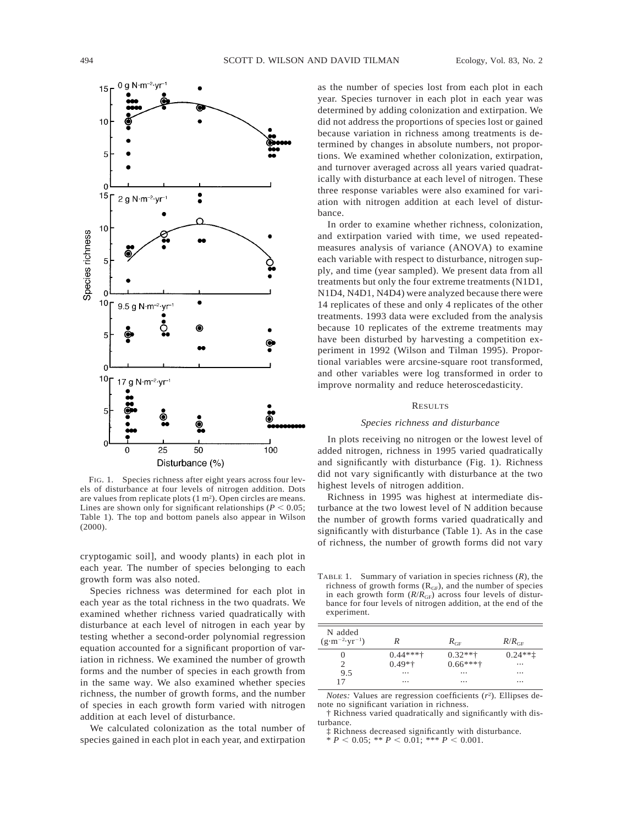

FIG. 1. Species richness after eight years across four levels of disturbance at four levels of nitrogen addition. Dots are values from replicate plots (1 m2). Open circles are means. Lines are shown only for significant relationships ( $P < 0.05$ ; Table 1). The top and bottom panels also appear in Wilson (2000).

cryptogamic soil], and woody plants) in each plot in each year. The number of species belonging to each growth form was also noted.

Species richness was determined for each plot in each year as the total richness in the two quadrats. We examined whether richness varied quadratically with disturbance at each level of nitrogen in each year by testing whether a second-order polynomial regression equation accounted for a significant proportion of variation in richness. We examined the number of growth forms and the number of species in each growth from in the same way. We also examined whether species richness, the number of growth forms, and the number of species in each growth form varied with nitrogen addition at each level of disturbance.

We calculated colonization as the total number of species gained in each plot in each year, and extirpation as the number of species lost from each plot in each year. Species turnover in each plot in each year was determined by adding colonization and extirpation. We did not address the proportions of species lost or gained because variation in richness among treatments is determined by changes in absolute numbers, not proportions. We examined whether colonization, extirpation, and turnover averaged across all years varied quadratically with disturbance at each level of nitrogen. These three response variables were also examined for variation with nitrogen addition at each level of disturbance.

In order to examine whether richness, colonization, and extirpation varied with time, we used repeatedmeasures analysis of variance (ANOVA) to examine each variable with respect to disturbance, nitrogen supply, and time (year sampled). We present data from all treatments but only the four extreme treatments (N1D1, N1D4, N4D1, N4D4) were analyzed because there were 14 replicates of these and only 4 replicates of the other treatments. 1993 data were excluded from the analysis because 10 replicates of the extreme treatments may have been disturbed by harvesting a competition experiment in 1992 (Wilson and Tilman 1995). Proportional variables were arcsine-square root transformed, and other variables were log transformed in order to improve normality and reduce heteroscedasticity.

## RESULTS

# *Species richness and disturbance*

In plots receiving no nitrogen or the lowest level of added nitrogen, richness in 1995 varied quadratically and significantly with disturbance (Fig. 1). Richness did not vary significantly with disturbance at the two highest levels of nitrogen addition.

Richness in 1995 was highest at intermediate disturbance at the two lowest level of N addition because the number of growth forms varied quadratically and significantly with disturbance (Table 1). As in the case of richness, the number of growth forms did not vary

TABLE 1. Summary of variation in species richness (*R*), the richness of growth forms  $(R_{GF})$ , and the number of species in each growth form  $(R/R<sub>GF</sub>)$  across four levels of disturbance for four levels of nitrogen addition, at the end of the experiment.

| N added<br>$(g \cdot m^{-2} \cdot yr^{-1})$ | R                     | $R_{\text{GF}}$        | $R/R$ <sub>GF</sub>   |
|---------------------------------------------|-----------------------|------------------------|-----------------------|
| 0                                           | $0.44***$ †<br>0.49*† | $0.32**+$<br>$0.66***$ | $0.24**t$<br>$\cdots$ |
| 9.5                                         |                       | $\cdots$               |                       |
| 17                                          |                       | $\cdots$               |                       |

*Notes:* Values are regression coefficients ( $r^2$ ). Ellipses denote no significant variation in richness.

† Richness varied quadratically and significantly with disturbance.

‡ Richness decreased significantly with disturbance.

 $* P < 0.05; *P < 0.01; **P < 0.001.$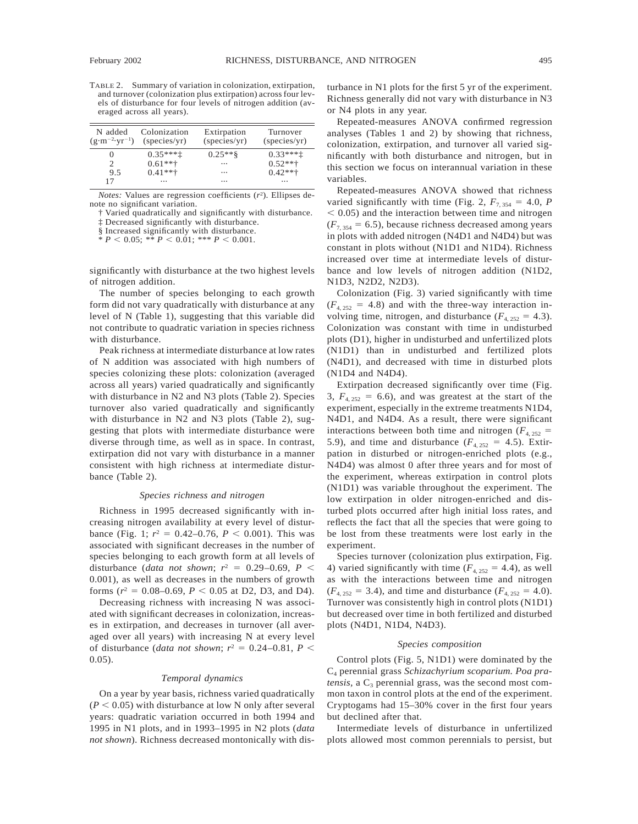TABLE 2. Summary of variation in colonization, extirpation, and turnover (colonization plus extirpation) across four levels of disturbance for four levels of nitrogen addition (averaged across all years).

| N added<br>$(g \cdot m^{-2} \cdot yr^{-1})$ | Colonization<br>(species/yr) | Extirpation<br>(species/yr) | Turnover<br>(species/yr) |
|---------------------------------------------|------------------------------|-----------------------------|--------------------------|
|                                             | $0.35***$                    | $0.25**\$                   | $0.33***$                |
|                                             | $0.61***$                    |                             | $0.52***$                |
| 9.5                                         | $0.41***$                    |                             | $0.42***$                |
|                                             |                              | $\cdots$                    |                          |

*Notes:* Values are regression coefficients (*r*<sup>2</sup> ). Ellipses denote no significant variation.

Varied quadratically and significantly with disturbance.

‡ Decreased significantly with disturbance.

§ Increased significantly with disturbance.

 $* P < 0.05$ ;  $* P < 0.01$ ;  $* * P < 0.001$ .

significantly with disturbance at the two highest levels of nitrogen addition.

The number of species belonging to each growth form did not vary quadratically with disturbance at any level of N (Table 1), suggesting that this variable did not contribute to quadratic variation in species richness with disturbance.

Peak richness at intermediate disturbance at low rates of N addition was associated with high numbers of species colonizing these plots: colonization (averaged across all years) varied quadratically and significantly with disturbance in N2 and N3 plots (Table 2). Species turnover also varied quadratically and significantly with disturbance in N2 and N3 plots (Table 2), suggesting that plots with intermediate disturbance were diverse through time, as well as in space. In contrast, extirpation did not vary with disturbance in a manner consistent with high richness at intermediate disturbance (Table 2).

### *Species richness and nitrogen*

Richness in 1995 decreased significantly with increasing nitrogen availability at every level of disturbance (Fig. 1;  $r^2 = 0.42{\text -}0.76$ ,  $P < 0.001$ ). This was associated with significant decreases in the number of species belonging to each growth form at all levels of disturbance (*data not shown*;  $r^2 = 0.29{\text -}0.69$ ,  $P <$ 0.001), as well as decreases in the numbers of growth forms ( $r^2 = 0.08{\text -}0.69$ ,  $P < 0.05$  at D2, D3, and D4).

Decreasing richness with increasing N was associated with significant decreases in colonization, increases in extirpation, and decreases in turnover (all averaged over all years) with increasing N at every level of disturbance (*data not shown*;  $r^2 = 0.24 - 0.81$ ,  $P <$ 0.05).

### *Temporal dynamics*

On a year by year basis, richness varied quadratically  $(P < 0.05)$  with disturbance at low N only after several years: quadratic variation occurred in both 1994 and 1995 in N1 plots, and in 1993–1995 in N2 plots (*data not shown*). Richness decreased montonically with disturbance in N1 plots for the first 5 yr of the experiment. Richness generally did not vary with disturbance in N3 or N4 plots in any year.

Repeated-measures ANOVA confirmed regression analyses (Tables 1 and 2) by showing that richness, colonization, extirpation, and turnover all varied significantly with both disturbance and nitrogen, but in this section we focus on interannual variation in these variables.

Repeated-measures ANOVA showed that richness varied significantly with time (Fig. 2,  $F_{7,354} = 4.0$ , *P*  $<$  0.05) and the interaction between time and nitrogen  $(F<sub>7,354</sub> = 6.5)$ , because richness decreased among years in plots with added nitrogen (N4D1 and N4D4) but was constant in plots without (N1D1 and N1D4). Richness increased over time at intermediate levels of disturbance and low levels of nitrogen addition (N1D2, N1D3, N2D2, N2D3).

Colonization (Fig. 3) varied significantly with time  $(F_{4, 252} = 4.8)$  and with the three-way interaction involving time, nitrogen, and disturbance  $(F_{4, 252} = 4.3)$ . Colonization was constant with time in undisturbed plots (D1), higher in undisturbed and unfertilized plots (N1D1) than in undisturbed and fertilized plots (N4D1), and decreased with time in disturbed plots (N1D4 and N4D4).

Extirpation decreased significantly over time (Fig. 3,  $F_{4,252} = 6.6$ , and was greatest at the start of the experiment, especially in the extreme treatments N1D4, N4D1, and N4D4. As a result, there were significant interactions between both time and nitrogen ( $F_{4, 252}$  = 5.9), and time and disturbance  $(F_{4, 252} = 4.5)$ . Extirpation in disturbed or nitrogen-enriched plots (e.g., N4D4) was almost 0 after three years and for most of the experiment, whereas extirpation in control plots (N1D1) was variable throughout the experiment. The low extirpation in older nitrogen-enriched and disturbed plots occurred after high initial loss rates, and reflects the fact that all the species that were going to be lost from these treatments were lost early in the experiment.

Species turnover (colonization plus extirpation, Fig. 4) varied significantly with time  $(F_{4, 252} = 4.4)$ , as well as with the interactions between time and nitrogen  $(F_{4, 252} = 3.4)$ , and time and disturbance  $(F_{4, 252} = 4.0)$ . Turnover was consistently high in control plots (N1D1) but decreased over time in both fertilized and disturbed plots (N4D1, N1D4, N4D3).

# *Species composition*

Control plots (Fig. 5, N1D1) were dominated by the C4 perennial grass *Schizachyrium scoparium. Poa pra* $tensis$ , a  $C<sub>3</sub>$  perennial grass, was the second most common taxon in control plots at the end of the experiment. Cryptogams had 15–30% cover in the first four years but declined after that.

Intermediate levels of disturbance in unfertilized plots allowed most common perennials to persist, but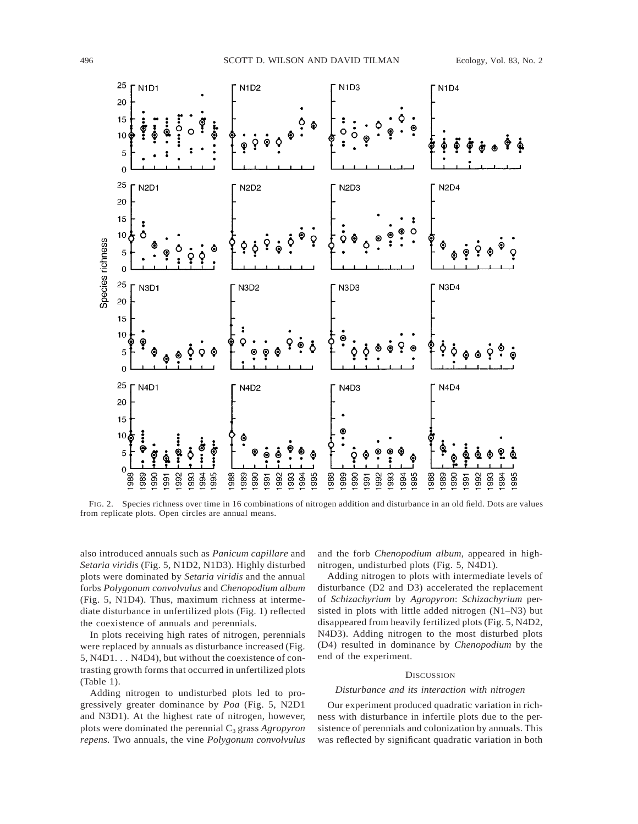

FIG. 2. Species richness over time in 16 combinations of nitrogen addition and disturbance in an old field. Dots are values from replicate plots. Open circles are annual means.

also introduced annuals such as *Panicum capillare* and *Setaria viridis* (Fig. 5, N1D2, N1D3). Highly disturbed plots were dominated by *Setaria viridis* and the annual forbs *Polygonum convolvulus* and *Chenopodium album* (Fig. 5, N1D4). Thus, maximum richness at intermediate disturbance in unfertilized plots (Fig. 1) reflected the coexistence of annuals and perennials.

In plots receiving high rates of nitrogen, perennials were replaced by annuals as disturbance increased (Fig. 5, N4D1. . . N4D4), but without the coexistence of contrasting growth forms that occurred in unfertilized plots (Table 1).

Adding nitrogen to undisturbed plots led to progressively greater dominance by *Poa* (Fig. 5, N2D1 and N3D1). At the highest rate of nitrogen, however, plots were dominated the perennial C<sub>3</sub> grass *Agropyron repens.* Two annuals, the vine *Polygonum convolvulus*

and the forb *Chenopodium album,* appeared in highnitrogen, undisturbed plots (Fig. 5, N4D1).

Adding nitrogen to plots with intermediate levels of disturbance (D2 and D3) accelerated the replacement of *Schizachyrium* by *Agropyron*: *Schizachyrium* persisted in plots with little added nitrogen (N1–N3) but disappeared from heavily fertilized plots (Fig. 5, N4D2, N4D3). Adding nitrogen to the most disturbed plots (D4) resulted in dominance by *Chenopodium* by the end of the experiment.

### **DISCUSSION**

# *Disturbance and its interaction with nitrogen*

Our experiment produced quadratic variation in richness with disturbance in infertile plots due to the persistence of perennials and colonization by annuals. This was reflected by significant quadratic variation in both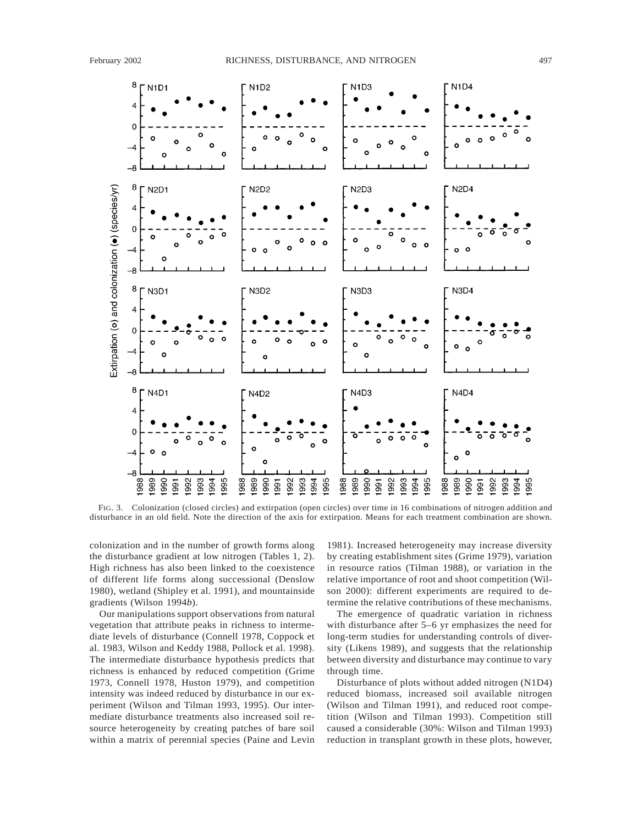

FIG. 3. Colonization (closed circles) and extirpation (open circles) over time in 16 combinations of nitrogen addition and disturbance in an old field. Note the direction of the axis for extirpation. Means for each treatment combination are shown.

colonization and in the number of growth forms along the disturbance gradient at low nitrogen (Tables 1, 2). High richness has also been linked to the coexistence of different life forms along successional (Denslow 1980), wetland (Shipley et al. 1991), and mountainside gradients (Wilson 1994*b*).

Our manipulations support observations from natural vegetation that attribute peaks in richness to intermediate levels of disturbance (Connell 1978, Coppock et al. 1983, Wilson and Keddy 1988, Pollock et al. 1998). The intermediate disturbance hypothesis predicts that richness is enhanced by reduced competition (Grime 1973, Connell 1978, Huston 1979), and competition intensity was indeed reduced by disturbance in our experiment (Wilson and Tilman 1993, 1995). Our intermediate disturbance treatments also increased soil resource heterogeneity by creating patches of bare soil within a matrix of perennial species (Paine and Levin

1981). Increased heterogeneity may increase diversity by creating establishment sites (Grime 1979), variation in resource ratios (Tilman 1988), or variation in the relative importance of root and shoot competition (Wilson 2000): different experiments are required to determine the relative contributions of these mechanisms.

The emergence of quadratic variation in richness with disturbance after 5–6 yr emphasizes the need for long-term studies for understanding controls of diversity (Likens 1989), and suggests that the relationship between diversity and disturbance may continue to vary through time.

Disturbance of plots without added nitrogen (N1D4) reduced biomass, increased soil available nitrogen (Wilson and Tilman 1991), and reduced root competition (Wilson and Tilman 1993). Competition still caused a considerable (30%: Wilson and Tilman 1993) reduction in transplant growth in these plots, however,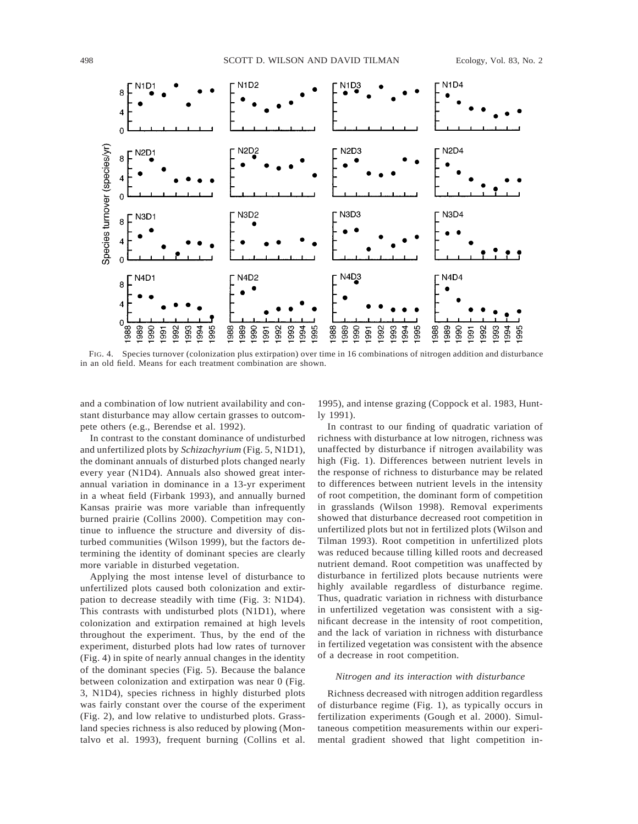

FIG. 4. Species turnover (colonization plus extirpation) over time in 16 combinations of nitrogen addition and disturbance in an old field. Means for each treatment combination are shown.

and a combination of low nutrient availability and constant disturbance may allow certain grasses to outcompete others (e.g., Berendse et al. 1992).

In contrast to the constant dominance of undisturbed and unfertilized plots by *Schizachyrium* (Fig. 5, N1D1), the dominant annuals of disturbed plots changed nearly every year (N1D4). Annuals also showed great interannual variation in dominance in a 13-yr experiment in a wheat field (Firbank 1993), and annually burned Kansas prairie was more variable than infrequently burned prairie (Collins 2000). Competition may continue to influence the structure and diversity of disturbed communities (Wilson 1999), but the factors determining the identity of dominant species are clearly more variable in disturbed vegetation.

Applying the most intense level of disturbance to unfertilized plots caused both colonization and extirpation to decrease steadily with time (Fig. 3: N1D4). This contrasts with undisturbed plots (N1D1), where colonization and extirpation remained at high levels throughout the experiment. Thus, by the end of the experiment, disturbed plots had low rates of turnover (Fig. 4) in spite of nearly annual changes in the identity of the dominant species (Fig. 5). Because the balance between colonization and extirpation was near 0 (Fig. 3, N1D4), species richness in highly disturbed plots was fairly constant over the course of the experiment (Fig. 2), and low relative to undisturbed plots. Grassland species richness is also reduced by plowing (Montalvo et al. 1993), frequent burning (Collins et al.

1995), and intense grazing (Coppock et al. 1983, Huntly 1991).

In contrast to our finding of quadratic variation of richness with disturbance at low nitrogen, richness was unaffected by disturbance if nitrogen availability was high (Fig. 1). Differences between nutrient levels in the response of richness to disturbance may be related to differences between nutrient levels in the intensity of root competition, the dominant form of competition in grasslands (Wilson 1998). Removal experiments showed that disturbance decreased root competition in unfertilized plots but not in fertilized plots (Wilson and Tilman 1993). Root competition in unfertilized plots was reduced because tilling killed roots and decreased nutrient demand. Root competition was unaffected by disturbance in fertilized plots because nutrients were highly available regardless of disturbance regime. Thus, quadratic variation in richness with disturbance in unfertilized vegetation was consistent with a significant decrease in the intensity of root competition, and the lack of variation in richness with disturbance in fertilized vegetation was consistent with the absence of a decrease in root competition.

# *Nitrogen and its interaction with disturbance*

Richness decreased with nitrogen addition regardless of disturbance regime (Fig. 1), as typically occurs in fertilization experiments (Gough et al. 2000). Simultaneous competition measurements within our experimental gradient showed that light competition in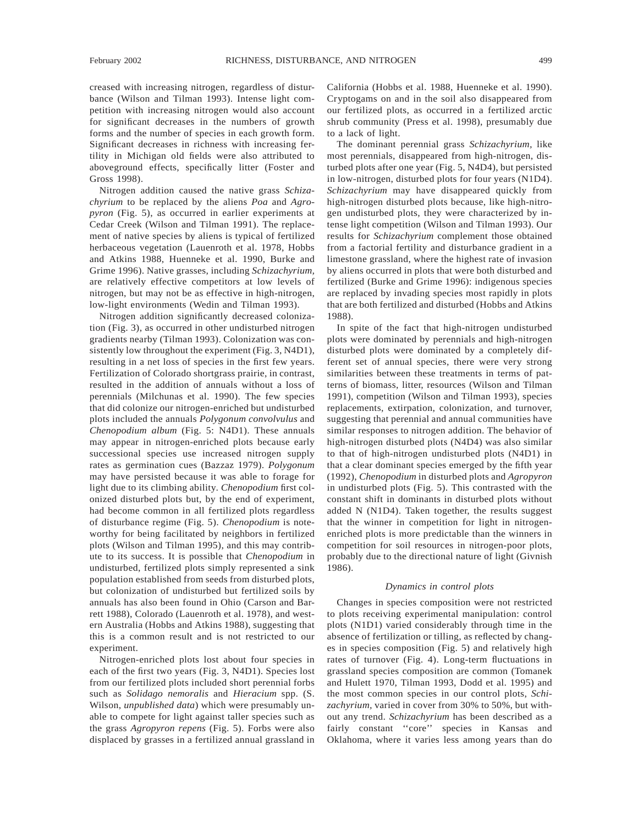Gross 1998).

creased with increasing nitrogen, regardless of disturbance (Wilson and Tilman 1993). Intense light competition with increasing nitrogen would also account for significant decreases in the numbers of growth forms and the number of species in each growth form. Significant decreases in richness with increasing fertility in Michigan old fields were also attributed to aboveground effects, specifically litter (Foster and

Nitrogen addition caused the native grass *Schizachyrium* to be replaced by the aliens *Poa* and *Agropyron* (Fig. 5), as occurred in earlier experiments at Cedar Creek (Wilson and Tilman 1991). The replacement of native species by aliens is typical of fertilized herbaceous vegetation (Lauenroth et al. 1978, Hobbs and Atkins 1988, Huenneke et al. 1990, Burke and Grime 1996). Native grasses, including *Schizachyrium,* are relatively effective competitors at low levels of nitrogen, but may not be as effective in high-nitrogen, low-light environments (Wedin and Tilman 1993).

Nitrogen addition significantly decreased colonization (Fig. 3), as occurred in other undisturbed nitrogen gradients nearby (Tilman 1993). Colonization was consistently low throughout the experiment (Fig. 3, N4D1), resulting in a net loss of species in the first few years. Fertilization of Colorado shortgrass prairie, in contrast, resulted in the addition of annuals without a loss of perennials (Milchunas et al. 1990). The few species that did colonize our nitrogen-enriched but undisturbed plots included the annuals *Polygonum convolvulus* and *Chenopodium album* (Fig. 5: N4D1). These annuals may appear in nitrogen-enriched plots because early successional species use increased nitrogen supply rates as germination cues (Bazzaz 1979). *Polygonum* may have persisted because it was able to forage for light due to its climbing ability. *Chenopodium* first colonized disturbed plots but, by the end of experiment, had become common in all fertilized plots regardless of disturbance regime (Fig. 5). *Chenopodium* is noteworthy for being facilitated by neighbors in fertilized plots (Wilson and Tilman 1995), and this may contribute to its success. It is possible that *Chenopodium* in undisturbed, fertilized plots simply represented a sink population established from seeds from disturbed plots, but colonization of undisturbed but fertilized soils by annuals has also been found in Ohio (Carson and Barrett 1988), Colorado (Lauenroth et al. 1978), and western Australia (Hobbs and Atkins 1988), suggesting that this is a common result and is not restricted to our experiment.

Nitrogen-enriched plots lost about four species in each of the first two years (Fig. 3, N4D1). Species lost from our fertilized plots included short perennial forbs such as *Solidago nemoralis* and *Hieracium* spp. (S. Wilson, *unpublished data*) which were presumably unable to compete for light against taller species such as the grass *Agropyron repens* (Fig. 5). Forbs were also displaced by grasses in a fertilized annual grassland in California (Hobbs et al. 1988, Huenneke et al. 1990). Cryptogams on and in the soil also disappeared from our fertilized plots, as occurred in a fertilized arctic shrub community (Press et al. 1998), presumably due to a lack of light.

The dominant perennial grass *Schizachyrium,* like most perennials, disappeared from high-nitrogen, disturbed plots after one year (Fig. 5, N4D4), but persisted in low-nitrogen, disturbed plots for four years (N1D4). *Schizachyrium* may have disappeared quickly from high-nitrogen disturbed plots because, like high-nitrogen undisturbed plots, they were characterized by intense light competition (Wilson and Tilman 1993). Our results for *Schizachyrium* complement those obtained from a factorial fertility and disturbance gradient in a limestone grassland, where the highest rate of invasion by aliens occurred in plots that were both disturbed and fertilized (Burke and Grime 1996): indigenous species are replaced by invading species most rapidly in plots that are both fertilized and disturbed (Hobbs and Atkins 1988).

In spite of the fact that high-nitrogen undisturbed plots were dominated by perennials and high-nitrogen disturbed plots were dominated by a completely different set of annual species, there were very strong similarities between these treatments in terms of patterns of biomass, litter, resources (Wilson and Tilman 1991), competition (Wilson and Tilman 1993), species replacements, extirpation, colonization, and turnover, suggesting that perennial and annual communities have similar responses to nitrogen addition. The behavior of high-nitrogen disturbed plots (N4D4) was also similar to that of high-nitrogen undisturbed plots (N4D1) in that a clear dominant species emerged by the fifth year (1992), *Chenopodium* in disturbed plots and *Agropyron* in undisturbed plots (Fig. 5). This contrasted with the constant shift in dominants in disturbed plots without added N (N1D4). Taken together, the results suggest that the winner in competition for light in nitrogenenriched plots is more predictable than the winners in competition for soil resources in nitrogen-poor plots, probably due to the directional nature of light (Givnish 1986).

### *Dynamics in control plots*

Changes in species composition were not restricted to plots receiving experimental manipulation: control plots (N1D1) varied considerably through time in the absence of fertilization or tilling, as reflected by changes in species composition (Fig. 5) and relatively high rates of turnover (Fig. 4). Long-term fluctuations in grassland species composition are common (Tomanek and Hulett 1970, Tilman 1993, Dodd et al. 1995) and the most common species in our control plots, *Schizachyrium,* varied in cover from 30% to 50%, but without any trend. *Schizachyrium* has been described as a fairly constant ''core'' species in Kansas and Oklahoma, where it varies less among years than do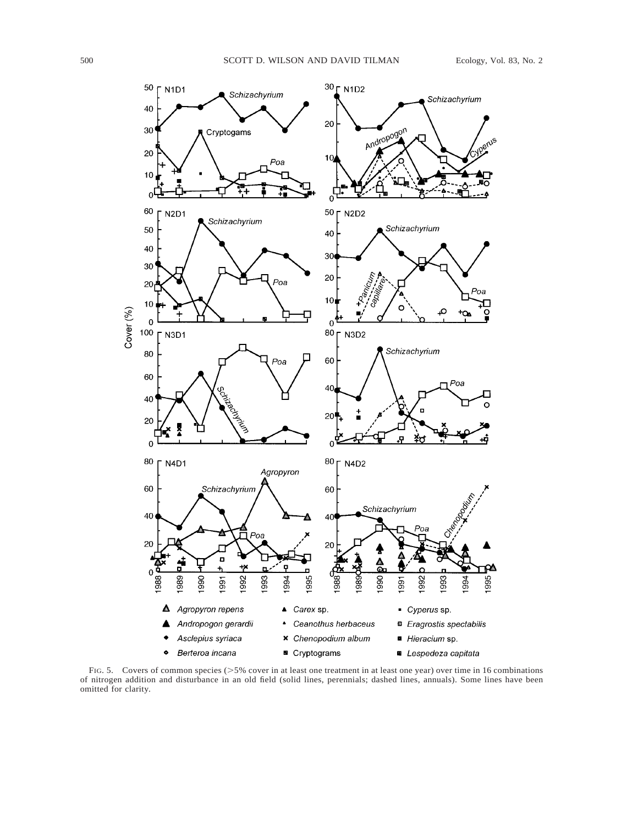

FIG. 5. Covers of common species ( $>5\%$  cover in at least one treatment in at least one year) over time in 16 combinations of nitrogen addition and disturbance in an old field (solid lines, perennials; dashed lines, annuals). Some lines have been omitted for clarity.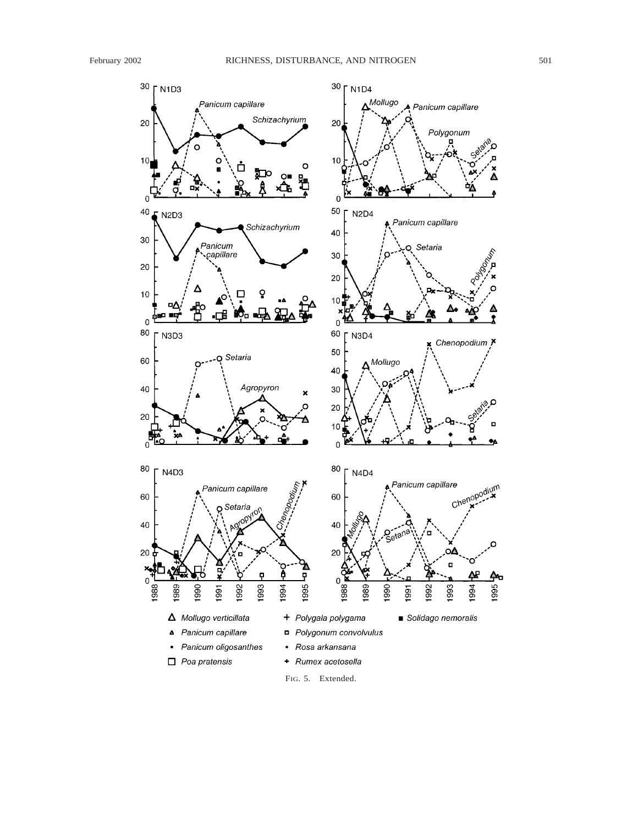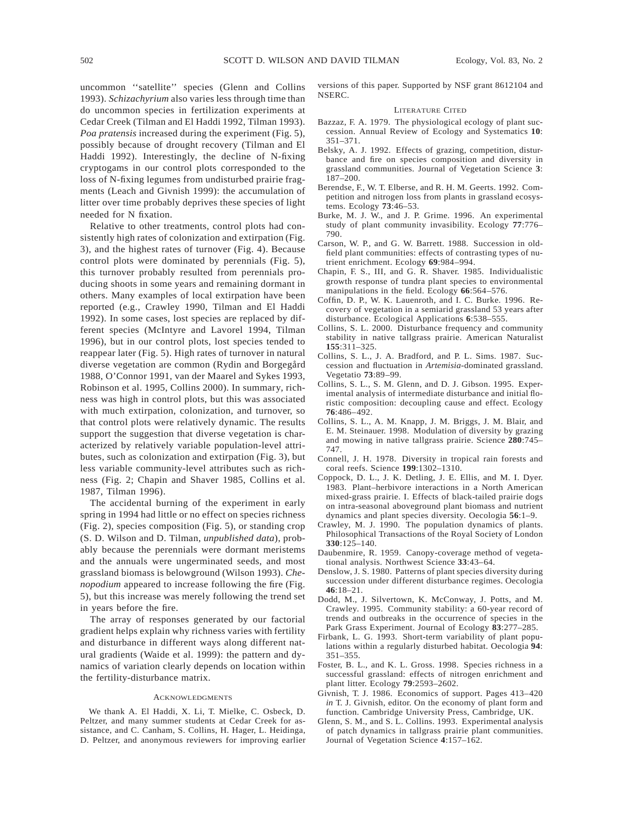uncommon ''satellite'' species (Glenn and Collins 1993). *Schizachyrium* also varies less through time than do uncommon species in fertilization experiments at Cedar Creek (Tilman and El Haddi 1992, Tilman 1993). *Poa pratensis* increased during the experiment (Fig. 5), possibly because of drought recovery (Tilman and El Haddi 1992). Interestingly, the decline of N-fixing cryptogams in our control plots corresponded to the loss of N-fixing legumes from undisturbed prairie fragments (Leach and Givnish 1999): the accumulation of litter over time probably deprives these species of light needed for N fixation.

Relative to other treatments, control plots had consistently high rates of colonization and extirpation (Fig. 3), and the highest rates of turnover (Fig. 4). Because control plots were dominated by perennials (Fig. 5), this turnover probably resulted from perennials producing shoots in some years and remaining dormant in others. Many examples of local extirpation have been reported (e.g., Crawley 1990, Tilman and El Haddi 1992). In some cases, lost species are replaced by different species (McIntyre and Lavorel 1994, Tilman 1996), but in our control plots, lost species tended to reappear later (Fig. 5). High rates of turnover in natural diverse vegetation are common (Rydin and Borgegård 1988, O'Connor 1991, van der Maarel and Sykes 1993, Robinson et al. 1995, Collins 2000). In summary, richness was high in control plots, but this was associated with much extirpation, colonization, and turnover, so that control plots were relatively dynamic. The results support the suggestion that diverse vegetation is characterized by relatively variable population-level attributes, such as colonization and extirpation (Fig. 3), but less variable community-level attributes such as richness (Fig. 2; Chapin and Shaver 1985, Collins et al. 1987, Tilman 1996).

The accidental burning of the experiment in early spring in 1994 had little or no effect on species richness (Fig. 2), species composition (Fig. 5), or standing crop (S. D. Wilson and D. Tilman, *unpublished data*), probably because the perennials were dormant meristems and the annuals were ungerminated seeds, and most grassland biomass is belowground (Wilson 1993). *Chenopodium* appeared to increase following the fire (Fig. 5), but this increase was merely following the trend set in years before the fire.

The array of responses generated by our factorial gradient helps explain why richness varies with fertility and disturbance in different ways along different natural gradients (Waide et al. 1999): the pattern and dynamics of variation clearly depends on location within the fertility-disturbance matrix.

### **ACKNOWLEDGMENTS**

We thank A. El Haddi, X. Li, T. Mielke, C. Osbeck, D. Peltzer, and many summer students at Cedar Creek for assistance, and C. Canham, S. Collins, H. Hager, L. Heidinga, D. Peltzer, and anonymous reviewers for improving earlier versions of this paper. Supported by NSF grant 8612104 and NSERC.

#### LITERATURE CITED

- Bazzaz, F. A. 1979. The physiological ecology of plant succession. Annual Review of Ecology and Systematics **10**: 351–371.
- Belsky, A. J. 1992. Effects of grazing, competition, disturbance and fire on species composition and diversity in grassland communities. Journal of Vegetation Science **3**: 187–200.
- Berendse, F., W. T. Elberse, and R. H. M. Geerts. 1992. Competition and nitrogen loss from plants in grassland ecosystems. Ecology **73**:46–53.
- Burke, M. J. W., and J. P. Grime. 1996. An experimental study of plant community invasibility. Ecology **77**:776– 790.
- Carson, W. P., and G. W. Barrett. 1988. Succession in oldfield plant communities: effects of contrasting types of nutrient enrichment. Ecology **69**:984–994.
- Chapin, F. S., III, and G. R. Shaver. 1985. Individualistic growth response of tundra plant species to environmental manipulations in the field. Ecology **66**:564–576.
- Coffin, D. P., W. K. Lauenroth, and I. C. Burke. 1996. Recovery of vegetation in a semiarid grassland 53 years after disturbance. Ecological Applications **6**:538–555.
- Collins, S. L. 2000. Disturbance frequency and community stability in native tallgrass prairie. American Naturalist **155**:311–325.
- Collins, S. L., J. A. Bradford, and P. L. Sims. 1987. Succession and fluctuation in *Artemisia*-dominated grassland. Vegetatio **73**:89–99.
- Collins, S. L., S. M. Glenn, and D. J. Gibson. 1995. Experimental analysis of intermediate disturbance and initial floristic composition: decoupling cause and effect. Ecology **76**:486–492.
- Collins, S. L., A. M. Knapp, J. M. Briggs, J. M. Blair, and E. M. Steinauer. 1998. Modulation of diversity by grazing and mowing in native tallgrass prairie. Science **280**:745– 747.
- Connell, J. H. 1978. Diversity in tropical rain forests and coral reefs. Science **199**:1302–1310.
- Coppock, D. L., J. K. Detling, J. E. Ellis, and M. I. Dyer. 1983. Plant–herbivore interactions in a North American mixed-grass prairie. I. Effects of black-tailed prairie dogs on intra-seasonal aboveground plant biomass and nutrient dynamics and plant species diversity. Oecologia **56**:1–9.
- Crawley, M. J. 1990. The population dynamics of plants. Philosophical Transactions of the Royal Society of London **330**:125–140.
- Daubenmire, R. 1959. Canopy-coverage method of vegetational analysis. Northwest Science **33**:43–64.
- Denslow, J. S. 1980. Patterns of plant species diversity during succession under different disturbance regimes. Oecologia **46**:18–21.
- Dodd, M., J. Silvertown, K. McConway, J. Potts, and M. Crawley. 1995. Community stability: a 60-year record of trends and outbreaks in the occurrence of species in the Park Grass Experiment. Journal of Ecology **83**:277–285.
- Firbank, L. G. 1993. Short-term variability of plant populations within a regularly disturbed habitat. Oecologia **94**: 351–355.
- Foster, B. L., and K. L. Gross. 1998. Species richness in a successful grassland: effects of nitrogen enrichment and plant litter. Ecology **79**:2593–2602.
- Givnish, T. J. 1986. Economics of support. Pages 413–420 *in* T. J. Givnish, editor. On the economy of plant form and function. Cambridge University Press, Cambridge, UK.
- Glenn, S. M., and S. L. Collins. 1993. Experimental analysis of patch dynamics in tallgrass prairie plant communities. Journal of Vegetation Science **4**:157–162.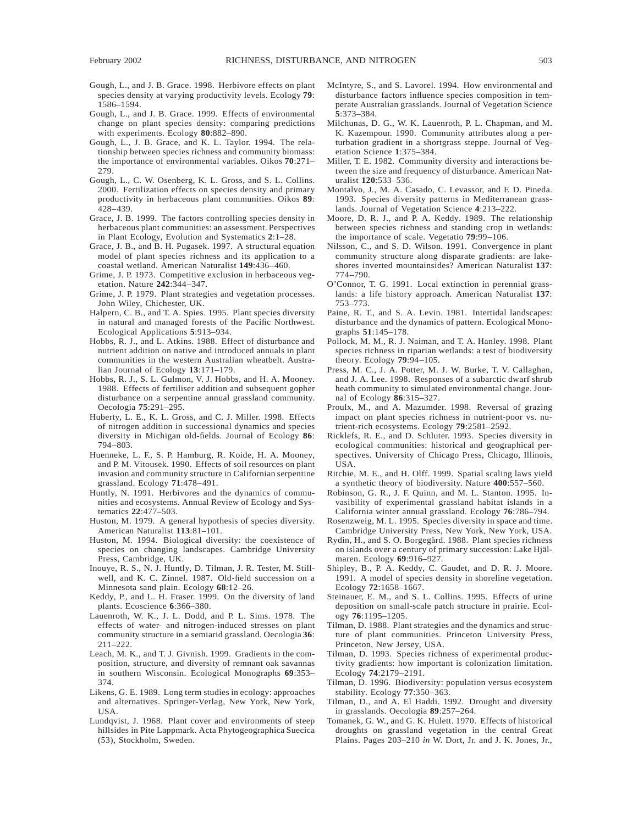- Gough, L., and J. B. Grace. 1998. Herbivore effects on plant species density at varying productivity levels. Ecology **79**: 1586–1594.
- Gough, L., and J. B. Grace. 1999. Effects of environmental change on plant species density: comparing predictions with experiments. Ecology **80**:882–890.
- Gough, L., J. B. Grace, and K. L. Taylor. 1994. The relationship between species richness and community biomass: the importance of environmental variables. Oikos **70**:271– 279.
- Gough, L., C. W. Osenberg, K. L. Gross, and S. L. Collins. 2000. Fertilization effects on species density and primary productivity in herbaceous plant communities. Oikos **89**: 428–439.
- Grace, J. B. 1999. The factors controlling species density in herbaceous plant communities: an assessment. Perspectives in Plant Ecology, Evolution and Systematics **2**:1–28.
- Grace, J. B., and B. H. Pugasek. 1997. A structural equation model of plant species richness and its application to a coastal wetland. American Naturalist **149**:436–460.
- Grime, J. P. 1973. Competitive exclusion in herbaceous vegetation. Nature **242**:344–347.
- Grime, J. P. 1979. Plant strategies and vegetation processes. John Wiley, Chichester, UK.
- Halpern, C. B., and T. A. Spies. 1995. Plant species diversity in natural and managed forests of the Pacific Northwest. Ecological Applications **5**:913–934.
- Hobbs, R. J., and L. Atkins. 1988. Effect of disturbance and nutrient addition on native and introduced annuals in plant communities in the western Australian wheatbelt. Australian Journal of Ecology **13**:171–179.
- Hobbs, R. J., S. L. Gulmon, V. J. Hobbs, and H. A. Mooney. 1988. Effects of fertiliser addition and subsequent gopher disturbance on a serpentine annual grassland community. Oecologia **75**:291–295.
- Huberty, L. E., K. L. Gross, and C. J. Miller. 1998. Effects of nitrogen addition in successional dynamics and species diversity in Michigan old-fields. Journal of Ecology **86**: 794–803.
- Huenneke, L. F., S. P. Hamburg, R. Koide, H. A. Mooney, and P. M. Vitousek. 1990. Effects of soil resources on plant invasion and community structure in Californian serpentine grassland. Ecology **71**:478–491.
- Huntly, N. 1991. Herbivores and the dynamics of communities and ecosystems. Annual Review of Ecology and Systematics **22**:477–503.
- Huston, M. 1979. A general hypothesis of species diversity. American Naturalist **113**:81–101.
- Huston, M. 1994. Biological diversity: the coexistence of species on changing landscapes. Cambridge University Press, Cambridge, UK.
- Inouye, R. S., N. J. Huntly, D. Tilman, J. R. Tester, M. Stillwell, and K. C. Zinnel. 1987. Old-field succession on a Minnesota sand plain. Ecology **68**:12–26.
- Keddy, P., and L. H. Fraser. 1999. On the diversity of land plants. Ecoscience **6**:366–380.
- Lauenroth, W. K., J. L. Dodd, and P. L. Sims. 1978. The effects of water- and nitrogen-induced stresses on plant community structure in a semiarid grassland. Oecologia **36**: 211–222.
- Leach, M. K., and T. J. Givnish. 1999. Gradients in the composition, structure, and diversity of remnant oak savannas in southern Wisconsin. Ecological Monographs **69**:353– 374.
- Likens, G. E. 1989. Long term studies in ecology: approaches and alternatives. Springer-Verlag, New York, New York, USA.
- Lundqvist, J. 1968. Plant cover and environments of steep hillsides in Pite Lappmark. Acta Phytogeographica Suecica (53), Stockholm, Sweden.
- McIntyre, S., and S. Lavorel. 1994. How environmental and disturbance factors influence species composition in temperate Australian grasslands. Journal of Vegetation Science **5**:373–384.
- Milchunas, D. G., W. K. Lauenroth, P. L. Chapman, and M. K. Kazempour. 1990. Community attributes along a perturbation gradient in a shortgrass steppe. Journal of Vegetation Science **1**:375–384.
- Miller, T. E. 1982. Community diversity and interactions between the size and frequency of disturbance. American Naturalist **120**:533–536.
- Montalvo, J., M. A. Casado, C. Levassor, and F. D. Pineda. 1993. Species diversity patterns in Mediterranean grasslands. Journal of Vegetation Science **4**:213–222.
- Moore, D. R. J., and P. A. Keddy. 1989. The relationship between species richness and standing crop in wetlands: the importance of scale. Vegetatio **79**:99–106.
- Nilsson, C., and S. D. Wilson. 1991. Convergence in plant community structure along disparate gradients: are lakeshores inverted mountainsides? American Naturalist **137**: 774–790.
- O'Connor, T. G. 1991. Local extinction in perennial grasslands: a life history approach. American Naturalist **137**: 753–773.
- Paine, R. T., and S. A. Levin. 1981. Intertidal landscapes: disturbance and the dynamics of pattern. Ecological Monographs **51**:145–178.
- Pollock, M. M., R. J. Naiman, and T. A. Hanley. 1998. Plant species richness in riparian wetlands: a test of biodiversity theory. Ecology **79**:94–105.
- Press, M. C., J. A. Potter, M. J. W. Burke, T. V. Callaghan, and J. A. Lee. 1998. Responses of a subarctic dwarf shrub heath community to simulated environmental change. Journal of Ecology **86**:315–327.
- Proulx, M., and A. Mazumder. 1998. Reversal of grazing impact on plant species richness in nutrient-poor vs. nutrient-rich ecosystems. Ecology **79**:2581–2592.
- Ricklefs, R. E., and D. Schluter. 1993. Species diversity in ecological communities: historical and geographical perspectives. University of Chicago Press, Chicago, Illinois, USA.
- Ritchie, M. E., and H. Olff. 1999. Spatial scaling laws yield a synthetic theory of biodiversity. Nature **400**:557–560.
- Robinson, G. R., J. F. Quinn, and M. L. Stanton. 1995. Invasibility of experimental grassland habitat islands in a California winter annual grassland. Ecology **76**:786–794.
- Rosenzweig, M. L. 1995. Species diversity in space and time. Cambridge University Press, New York, New York, USA.
- Rydin, H., and S. O. Borgegård. 1988. Plant species richness on islands over a century of primary succession: Lake Hjälmaren. Ecology **69**:916–927.
- Shipley, B., P. A. Keddy, C. Gaudet, and D. R. J. Moore. 1991. A model of species density in shoreline vegetation. Ecology **72**:1658–1667.
- Steinauer, E. M., and S. L. Collins. 1995. Effects of urine deposition on small-scale patch structure in prairie. Ecology **76**:1195–1205.
- Tilman, D. 1988. Plant strategies and the dynamics and structure of plant communities. Princeton University Press, Princeton, New Jersey, USA.
- Tilman, D. 1993. Species richness of experimental productivity gradients: how important is colonization limitation. Ecology **74**:2179–2191.
- Tilman, D. 1996. Biodiversity: population versus ecosystem stability. Ecology **77**:350–363.
- Tilman, D., and A. El Haddi. 1992. Drought and diversity in grasslands. Oecologia **89**:257–264.
- Tomanek, G. W., and G. K. Hulett. 1970. Effects of historical droughts on grassland vegetation in the central Great Plains. Pages 203–210 *in* W. Dort, Jr. and J. K. Jones, Jr.,